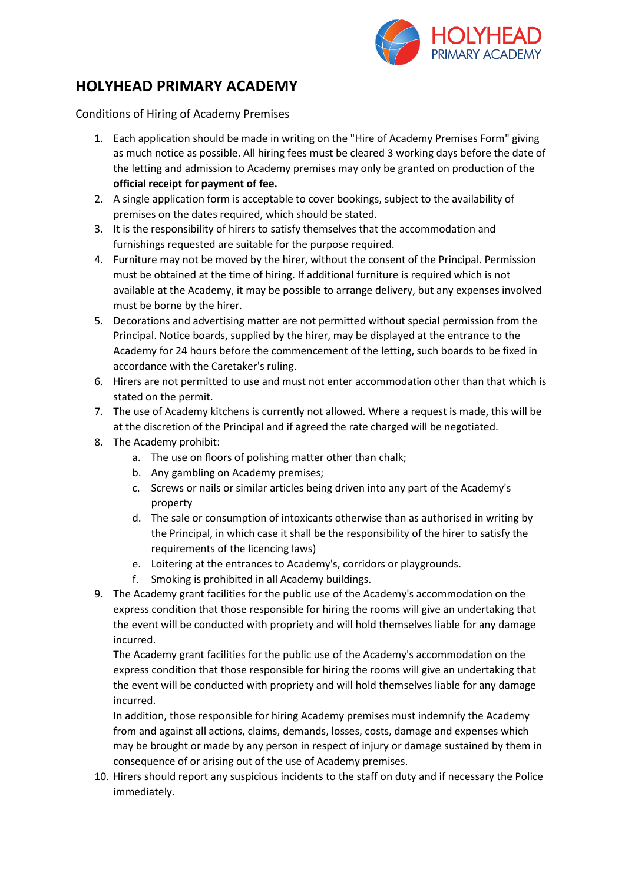

# **HOLYHEAD PRIMARY ACADEMY**

Conditions of Hiring of Academy Premises

- 1. Each application should be made in writing on the "Hire of Academy Premises Form" giving as much notice as possible. All hiring fees must be cleared 3 working days before the date of the letting and admission to Academy premises may only be granted on production of the **official receipt for payment of fee.**
- 2. A single application form is acceptable to cover bookings, subject to the availability of premises on the dates required, which should be stated.
- 3. It is the responsibility of hirers to satisfy themselves that the accommodation and furnishings requested are suitable for the purpose required.
- 4. Furniture may not be moved by the hirer, without the consent of the Principal. Permission must be obtained at the time of hiring. If additional furniture is required which is not available at the Academy, it may be possible to arrange delivery, but any expenses involved must be borne by the hirer.
- 5. Decorations and advertising matter are not permitted without special permission from the Principal. Notice boards, supplied by the hirer, may be displayed at the entrance to the Academy for 24 hours before the commencement of the letting, such boards to be fixed in accordance with the Caretaker's ruling.
- 6. Hirers are not permitted to use and must not enter accommodation other than that which is stated on the permit.
- 7. The use of Academy kitchens is currently not allowed. Where a request is made, this will be at the discretion of the Principal and if agreed the rate charged will be negotiated.
- 8. The Academy prohibit:
	- a. The use on floors of polishing matter other than chalk;
	- b. Any gambling on Academy premises;
	- c. Screws or nails or similar articles being driven into any part of the Academy's property
	- d. The sale or consumption of intoxicants otherwise than as authorised in writing by the Principal, in which case it shall be the responsibility of the hirer to satisfy the requirements of the licencing laws)
	- e. Loitering at the entrances to Academy's, corridors or playgrounds.
	- f. Smoking is prohibited in all Academy buildings.
- 9. The Academy grant facilities for the public use of the Academy's accommodation on the express condition that those responsible for hiring the rooms will give an undertaking that the event will be conducted with propriety and will hold themselves liable for any damage incurred.

The Academy grant facilities for the public use of the Academy's accommodation on the express condition that those responsible for hiring the rooms will give an undertaking that the event will be conducted with propriety and will hold themselves liable for any damage incurred.

In addition, those responsible for hiring Academy premises must indemnify the Academy from and against all actions, claims, demands, losses, costs, damage and expenses which may be brought or made by any person in respect of injury or damage sustained by them in consequence of or arising out of the use of Academy premises.

10. Hirers should report any suspicious incidents to the staff on duty and if necessary the Police immediately.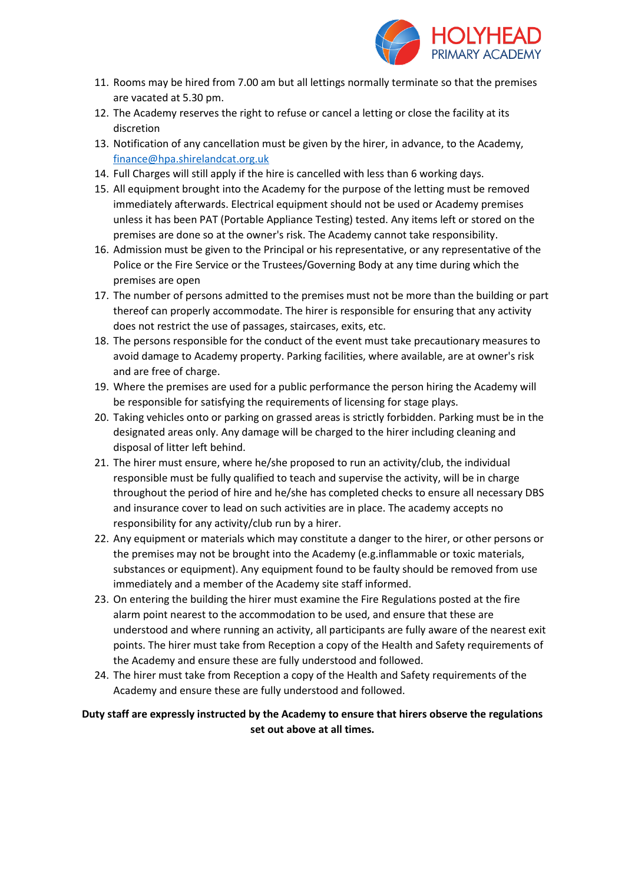

- 11. Rooms may be hired from 7.00 am but all lettings normally terminate so that the premises are vacated at 5.30 pm.
- 12. The Academy reserves the right to refuse or cancel a letting or close the facility at its discretion
- 13. Notification of any cancellation must be given by the hirer, in advance, to the Academy, [finance@hpa.shirelandcat.org.uk](mailto:finance@hpa.shirelandcat.org.uk)
- 14. Full Charges will still apply if the hire is cancelled with less than 6 working days.
- 15. All equipment brought into the Academy for the purpose of the letting must be removed immediately afterwards. Electrical equipment should not be used or Academy premises unless it has been PAT (Portable Appliance Testing) tested. Any items left or stored on the premises are done so at the owner's risk. The Academy cannot take responsibility.
- 16. Admission must be given to the Principal or his representative, or any representative of the Police or the Fire Service or the Trustees/Governing Body at any time during which the premises are open
- 17. The number of persons admitted to the premises must not be more than the building or part thereof can properly accommodate. The hirer is responsible for ensuring that any activity does not restrict the use of passages, staircases, exits, etc.
- 18. The persons responsible for the conduct of the event must take precautionary measures to avoid damage to Academy property. Parking facilities, where available, are at owner's risk and are free of charge.
- 19. Where the premises are used for a public performance the person hiring the Academy will be responsible for satisfying the requirements of licensing for stage plays.
- 20. Taking vehicles onto or parking on grassed areas is strictly forbidden. Parking must be in the designated areas only. Any damage will be charged to the hirer including cleaning and disposal of litter left behind.
- 21. The hirer must ensure, where he/she proposed to run an activity/club, the individual responsible must be fully qualified to teach and supervise the activity, will be in charge throughout the period of hire and he/she has completed checks to ensure all necessary DBS and insurance cover to lead on such activities are in place. The academy accepts no responsibility for any activity/club run by a hirer.
- 22. Any equipment or materials which may constitute a danger to the hirer, or other persons or the premises may not be brought into the Academy (e.g.inflammable or toxic materials, substances or equipment). Any equipment found to be faulty should be removed from use immediately and a member of the Academy site staff informed.
- 23. On entering the building the hirer must examine the Fire Regulations posted at the fire alarm point nearest to the accommodation to be used, and ensure that these are understood and where running an activity, all participants are fully aware of the nearest exit points. The hirer must take from Reception a copy of the Health and Safety requirements of the Academy and ensure these are fully understood and followed.
- 24. The hirer must take from Reception a copy of the Health and Safety requirements of the Academy and ensure these are fully understood and followed.

### **Duty staff are expressly instructed by the Academy to ensure that hirers observe the regulations set out above at all times.**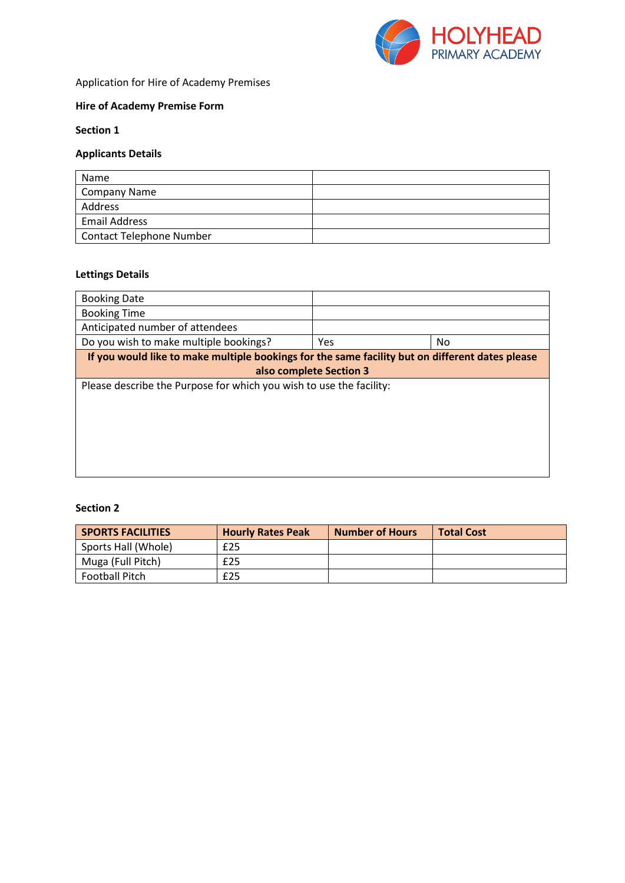

# Application for Hire of Academy Premises

# **Hire of Academy Premise Form**

#### **Section 1**

# **Applicants Details**

| Name                            |  |
|---------------------------------|--|
| <b>Company Name</b>             |  |
| Address                         |  |
| <b>Email Address</b>            |  |
| <b>Contact Telephone Number</b> |  |

#### **Lettings Details**

| <b>Booking Date</b>                                                                             |            |    |  |
|-------------------------------------------------------------------------------------------------|------------|----|--|
| <b>Booking Time</b>                                                                             |            |    |  |
| Anticipated number of attendees                                                                 |            |    |  |
| Do you wish to make multiple bookings?                                                          | <b>Yes</b> | No |  |
| If you would like to make multiple bookings for the same facility but on different dates please |            |    |  |
| also complete Section 3                                                                         |            |    |  |
| Please describe the Purpose for which you wish to use the facility:                             |            |    |  |
|                                                                                                 |            |    |  |
|                                                                                                 |            |    |  |
|                                                                                                 |            |    |  |
|                                                                                                 |            |    |  |
|                                                                                                 |            |    |  |
|                                                                                                 |            |    |  |

#### **Section 2**

| <b>SPORTS FACILITIES</b> | <b>Hourly Rates Peak</b> | Number of Hours | <b>Total Cost</b> |
|--------------------------|--------------------------|-----------------|-------------------|
| Sports Hall (Whole)      | £25                      |                 |                   |
| Muga (Full Pitch)        | £25                      |                 |                   |
| <b>Football Pitch</b>    | £25                      |                 |                   |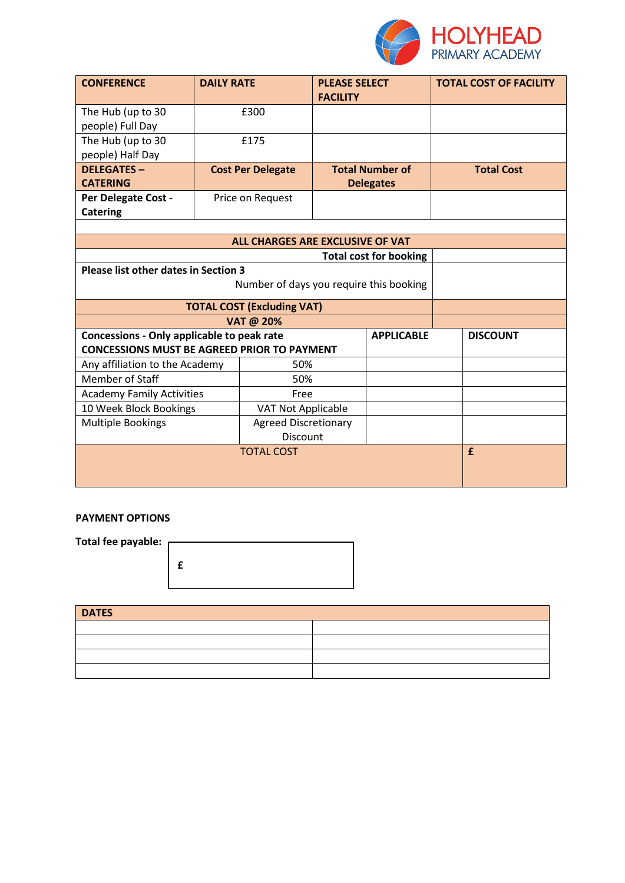

| <b>CONFERENCE</b>                                  | <b>DAILY RATE</b> |                                  | <b>PLEASE SELECT</b><br><b>FACILITY</b> |                        | <b>TOTAL COST OF FACILITY</b> |
|----------------------------------------------------|-------------------|----------------------------------|-----------------------------------------|------------------------|-------------------------------|
| The Hub (up to 30                                  |                   | £300                             |                                         |                        |                               |
| people) Full Day                                   |                   |                                  |                                         |                        |                               |
| The Hub (up to 30                                  |                   | £175                             |                                         |                        |                               |
| people) Half Day                                   |                   |                                  |                                         |                        |                               |
| <b>DELEGATES -</b>                                 |                   | <b>Cost Per Delegate</b>         |                                         | <b>Total Number of</b> | <b>Total Cost</b>             |
| <b>CATERING</b>                                    |                   |                                  |                                         | <b>Delegates</b>       |                               |
| Per Delegate Cost -                                |                   | Price on Request                 |                                         |                        |                               |
| <b>Catering</b>                                    |                   |                                  |                                         |                        |                               |
|                                                    |                   |                                  |                                         |                        |                               |
|                                                    |                   | ALL CHARGES ARE EXCLUSIVE OF VAT |                                         |                        |                               |
| <b>Total cost for booking</b>                      |                   |                                  |                                         |                        |                               |
| Please list other dates in Section 3               |                   |                                  |                                         |                        |                               |
| Number of days you require this booking            |                   |                                  |                                         |                        |                               |
| <b>TOTAL COST (Excluding VAT)</b>                  |                   |                                  |                                         |                        |                               |
| VAT @ 20%                                          |                   |                                  |                                         |                        |                               |
| Concessions - Only applicable to peak rate         |                   |                                  |                                         | <b>APPLICABLE</b>      | <b>DISCOUNT</b>               |
| <b>CONCESSIONS MUST BE AGREED PRIOR TO PAYMENT</b> |                   |                                  |                                         |                        |                               |
| Any affiliation to the Academy                     |                   | 50%                              |                                         |                        |                               |
| <b>Member of Staff</b>                             |                   | 50%                              |                                         |                        |                               |
| <b>Academy Family Activities</b>                   |                   | Free                             |                                         |                        |                               |
| 10 Week Block Bookings                             |                   | <b>VAT Not Applicable</b>        |                                         |                        |                               |
| <b>Multiple Bookings</b>                           |                   | <b>Agreed Discretionary</b>      |                                         |                        |                               |
|                                                    | Discount          |                                  |                                         |                        |                               |
| <b>TOTAL COST</b>                                  |                   |                                  |                                         | £                      |                               |
|                                                    |                   |                                  |                                         |                        |                               |
|                                                    |                   |                                  |                                         |                        |                               |

#### **PAYMENT OPTIONS**

| Total fee payable: |  |
|--------------------|--|
|                    |  |
|                    |  |
|                    |  |
|                    |  |
|                    |  |
|                    |  |

| <b>DATES</b> |  |  |
|--------------|--|--|
|              |  |  |
|              |  |  |
|              |  |  |
|              |  |  |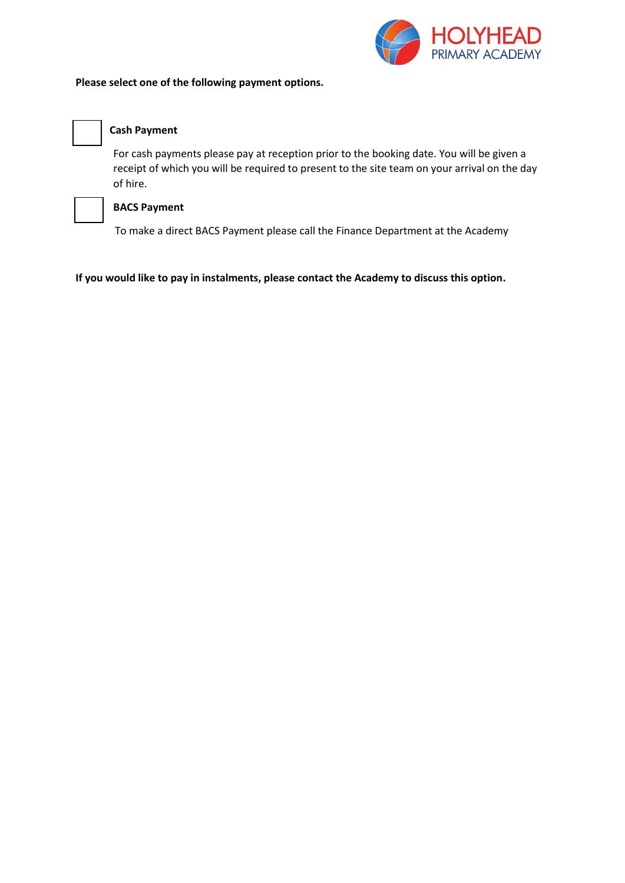

#### **Please select one of the following payment options.**



#### **Cash Payment**

For cash payments please pay at reception prior to the booking date. You will be given a receipt of which you will be required to present to the site team on your arrival on the day of hire.



### **BACS Payment**

To make a direct BACS Payment please call the Finance Department at the Academy

#### **If you would like to pay in instalments, please contact the Academy to discuss this option.**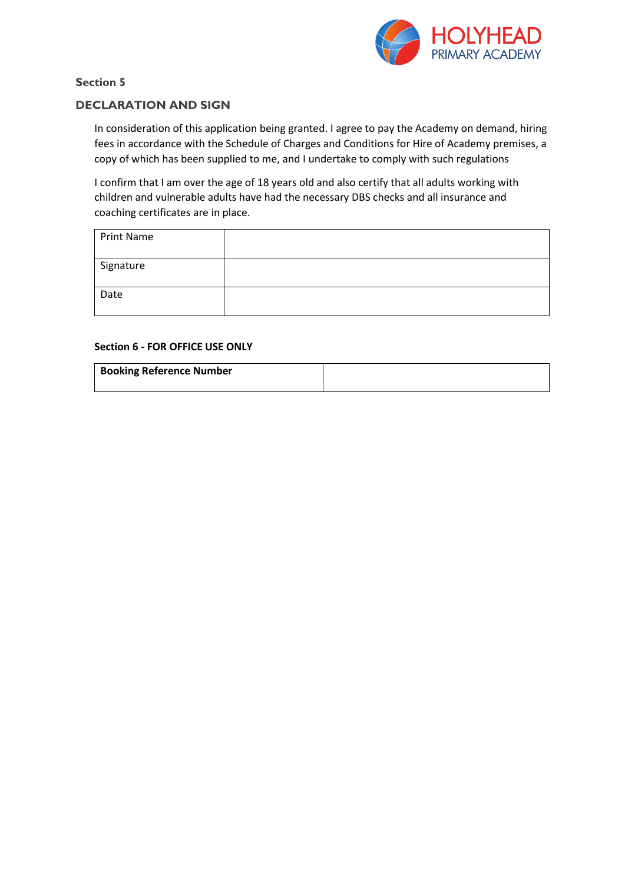

### **Section 5**

### **DECLARATION AND SIGN**

In consideration of this application being granted. I agree to pay the Academy on demand, hiring fees in accordance with the Schedule of Charges and Conditions for Hire of Academy premises, a copy of which has been supplied to me, and I undertake to comply with such regulations

I confirm that I am over the age of 18 years old and also certify that all adults working with children and vulnerable adults have had the necessary DBS checks and all insurance and coaching certificates are in place.

| Print Name |  |
|------------|--|
| Signature  |  |
| Date       |  |

#### **Section 6 - FOR OFFICE USE ONLY**

| <b>Booking Reference Number</b> |  |
|---------------------------------|--|
|                                 |  |